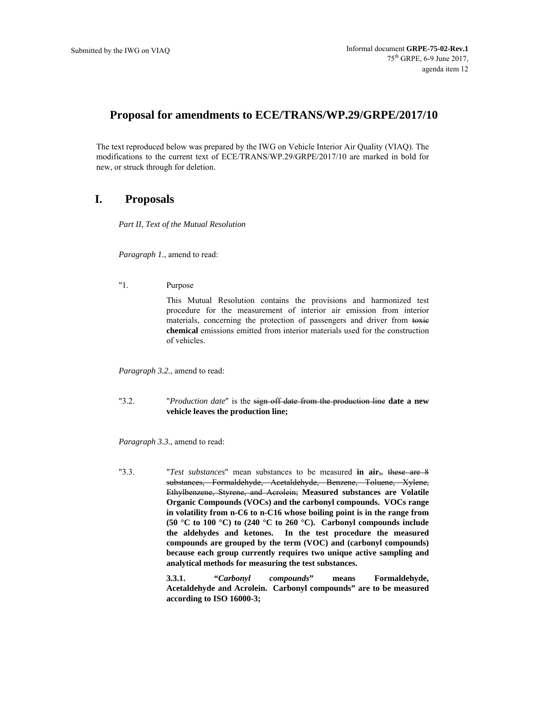# **Proposal for amendments to ECE/TRANS/WP.29/GRPE/2017/10**

The text reproduced below was prepared by the IWG on Vehicle Interior Air Quality (VIAQ). The modifications to the current text of ECE/TRANS/WP.29/GRPE/2017/10 are marked in bold for new, or struck through for deletion.

# **I. Proposals**

*Part II, Text of the Mutual Resolution* 

*Paragraph 1.*, amend to read:

"1. Purpose

This Mutual Resolution contains the provisions and harmonized test procedure for the measurement of interior air emission from interior materials, concerning the protection of passengers and driver from toxic **chemical** emissions emitted from interior materials used for the construction of vehicles.

*Paragraph 3.2.*, amend to read:

"3.2. "*Production date*" is the sign off date from the production line **date a new vehicle leaves the production line;**

*Paragraph 3.3.*, amend to read:

"3.3. "*Test substances*" mean substances to be measured **in air**,**.** these are 8 substances, Formaldehyde, Acetaldehyde, Benzene, Toluene, Xylene, Ethylbenzene, Styrene, and Acrolein; **Measured substances are Volatile Organic Compounds (VOCs) and the carbonyl compounds. VOCs range in volatility from n-C6 to n-C16 whose boiling point is in the range from (50 °C to 100 °C) to (240 °C to 260 °C). Carbonyl compounds include the aldehydes and ketones. In the test procedure the measured compounds are grouped by the term (VOC) and (carbonyl compounds) because each group currently requires two unique active sampling and analytical methods for measuring the test substances.** 

> **3.3.1. "***Carbonyl compounds***" means Formaldehyde, Acetaldehyde and Acrolein. Carbonyl compounds" are to be measured according to ISO 16000-3;**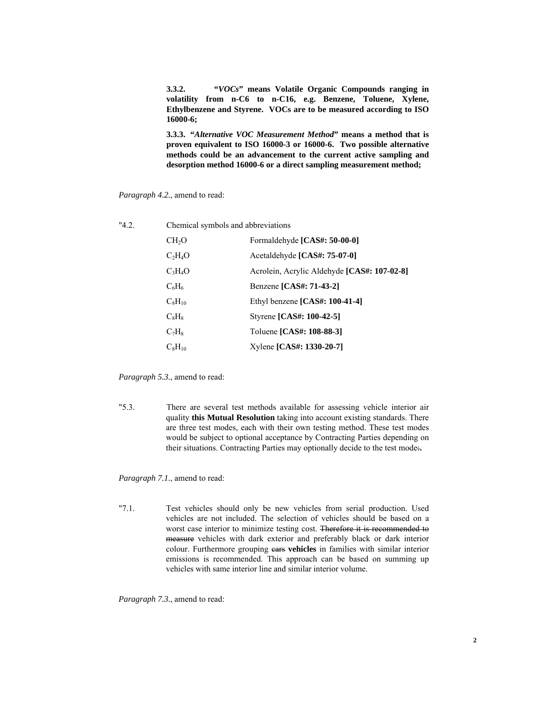**3.3.2. "***VOCs***" means Volatile Organic Compounds ranging in volatility from n-C6 to n-C16, e.g. Benzene, Toluene, Xylene, Ethylbenzene and Styrene. VOCs are to be measured according to ISO 16000-6;** 

**3.3.3. "***Alternative VOC Measurement Method***" means a method that is proven equivalent to ISO 16000-3 or 16000-6. Two possible alternative methods could be an advancement to the current active sampling and desorption method 16000-6 or a direct sampling measurement method;** 

*Paragraph 4.2.*, amend to read:

| "42 | Chemical symbols and abbreviations |                                             |
|-----|------------------------------------|---------------------------------------------|
|     | CH <sub>2</sub> O                  | Formaldehyde [CAS#: 50-00-0]                |
|     | $C_2H_4O$                          | Acetaldehyde [CAS#: 75-07-0]                |
|     | $C_3H_4O$                          | Acrolein, Acrylic Aldehyde [CAS#: 107-02-8] |
|     | $C_6H_6$                           | Benzene [CAS#: 71-43-2]                     |
|     | $C_8H_{10}$                        | Ethyl benzene $[CAS\#: 100-41-4]$           |
|     | $C_8H_8$                           | Styrene [CAS#: 100-42-5]                    |
|     | $C_7H_8$                           | Toluene [CAS#: 108-88-3]                    |
|     | $C_8H_{10}$                        | Xylene [CAS#: 1330-20-7]                    |

*Paragraph 5.3.*, amend to read:

"5.3. There are several test methods available for assessing vehicle interior air quality **this Mutual Resolution** taking into account existing standards. There are three test modes, each with their own testing method. These test modes would be subject to optional acceptance by Contracting Parties depending on their situations. Contracting Parties may optionally decide to the test mode:**.**

*Paragraph 7.1.*, amend to read:

"7.1. Test vehicles should only be new vehicles from serial production. Used vehicles are not included. The selection of vehicles should be based on a worst case interior to minimize testing cost. Therefore it is recommended to measure vehicles with dark exterior and preferably black or dark interior colour. Furthermore grouping cars **vehicles** in families with similar interior emissions is recommended. This approach can be based on summing up vehicles with same interior line and similar interior volume.

*Paragraph 7.3.*, amend to read: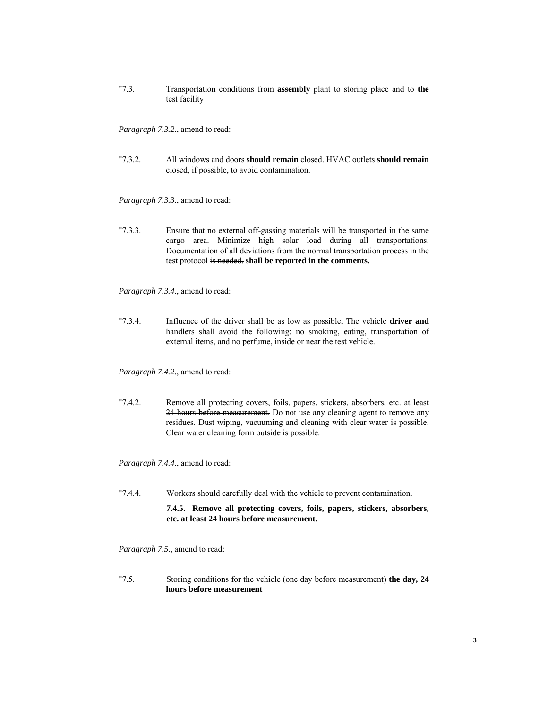"7.3. Transportation conditions from **assembly** plant to storing place and to **the** test facility

*Paragraph 7.3.2.*, amend to read:

"7.3.2. All windows and doors **should remain** closed. HVAC outlets **should remain** closed, if possible, to avoid contamination.

*Paragraph 7.3.3.*, amend to read:

"7.3.3. Ensure that no external off-gassing materials will be transported in the same cargo area. Minimize high solar load during all transportations. Documentation of all deviations from the normal transportation process in the test protocol is needed. **shall be reported in the comments.**

*Paragraph 7.3.4.*, amend to read:

"7.3.4. Influence of the driver shall be as low as possible. The vehicle **driver and** handlers shall avoid the following: no smoking, eating, transportation of external items, and no perfume, inside or near the test vehicle.

*Paragraph 7.4.2.*, amend to read:

"7.4.2. Remove all protecting covers, foils, papers, stickers, absorbers, etc. at least 24 hours before measurement. Do not use any cleaning agent to remove any residues. Dust wiping, vacuuming and cleaning with clear water is possible. Clear water cleaning form outside is possible.

*Paragraph 7.4.4.*, amend to read:

"7.4.4. Workers should carefully deal with the vehicle to prevent contamination.

**7.4.5. Remove all protecting covers, foils, papers, stickers, absorbers, etc. at least 24 hours before measurement.** 

*Paragraph 7.5.*, amend to read:

"7.5. Storing conditions for the vehicle (one day before measurement) **the day, 24 hours before measurement**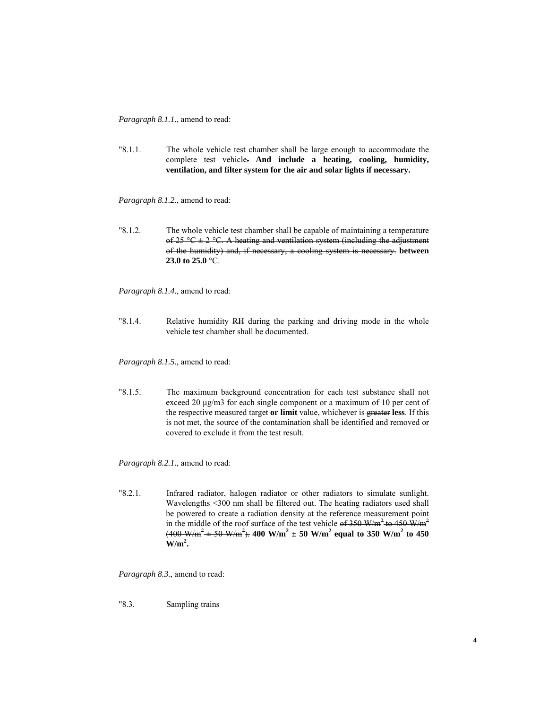*Paragraph 8.1.1.*, amend to read:

"8.1.1. The whole vehicle test chamber shall be large enough to accommodate the complete test vehicle. **And include a heating, cooling, humidity, ventilation, and filter system for the air and solar lights if necessary.** 

*Paragraph 8.1.2.*, amend to read:

"8.1.2. The whole vehicle test chamber shall be capable of maintaining a temperature of  $25 \text{ °C} \pm 2 \text{ °C}$ . A heating and ventilation system (including the adjustment of the humidity) and, if necessary, a cooling system is necessary. **between 23.0 to 25.0** °C.

*Paragraph 8.1.4.*, amend to read:

"8.1.4. Relative humidity RH during the parking and driving mode in the whole vehicle test chamber shall be documented.

*Paragraph 8.1.5.*, amend to read:

"8.1.5. The maximum background concentration for each test substance shall not exceed 20 μg/m3 for each single component or a maximum of 10 per cent of the respective measured target **or limit** value, whichever is greater **less**. If this is not met, the source of the contamination shall be identified and removed or covered to exclude it from the test result.

*Paragraph 8.2.1.*, amend to read:

"8.2.1. Infrared radiator, halogen radiator or other radiators to simulate sunlight. Wavelengths <300 nm shall be filtered out. The heating radiators used shall be powered to create a radiation density at the reference measurement point in the middle of the roof surface of the test vehicle of  $350 \text{ W/m}^2$  to  $450 \text{ W/m}^2$  $(400 \text{ W/m}^2 \pm 50 \text{ W/m}^2)$ .  $400 \text{ W/m}^2 \pm 50 \text{ W/m}^2$  equal to 350 W/m<sup>2</sup> to 450  $W/m^2$ .

*Paragraph 8.3.*, amend to read:

"8.3. Sampling trains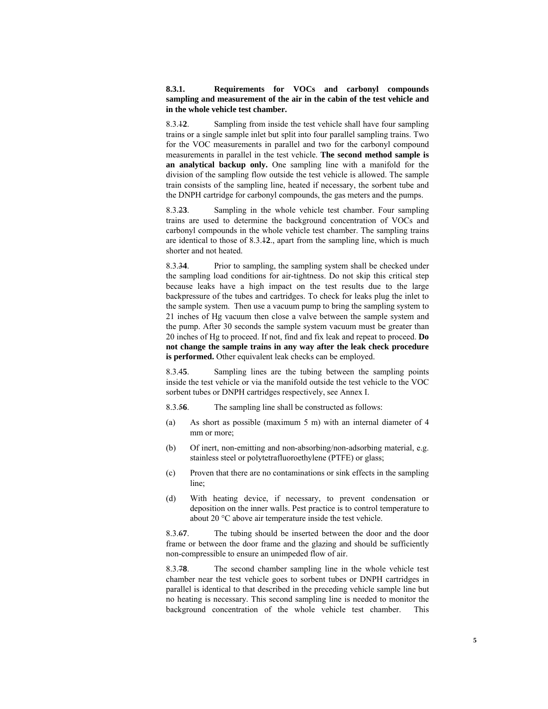## **8.3.1. Requirements for VOCs and carbonyl compounds sampling and measurement of the air in the cabin of the test vehicle and in the whole vehicle test chamber.**

8.3.1**2**. Sampling from inside the test vehicle shall have four sampling trains or a single sample inlet but split into four parallel sampling trains. Two for the VOC measurements in parallel and two for the carbonyl compound measurements in parallel in the test vehicle. **The second method sample is an analytical backup only.** One sampling line with a manifold for the division of the sampling flow outside the test vehicle is allowed. The sample train consists of the sampling line, heated if necessary, the sorbent tube and the DNPH cartridge for carbonyl compounds, the gas meters and the pumps.

8.3.2**3**. Sampling in the whole vehicle test chamber. Four sampling trains are used to determine the background concentration of VOCs and carbonyl compounds in the whole vehicle test chamber. The sampling trains are identical to those of 8.3.1**2**., apart from the sampling line, which is much shorter and not heated.

8.3.3**4**. Prior to sampling, the sampling system shall be checked under the sampling load conditions for air-tightness. Do not skip this critical step because leaks have a high impact on the test results due to the large backpressure of the tubes and cartridges. To check for leaks plug the inlet to the sample system. Then use a vacuum pump to bring the sampling system to 21 inches of Hg vacuum then close a valve between the sample system and the pump. After 30 seconds the sample system vacuum must be greater than 20 inches of Hg to proceed. If not, find and fix leak and repeat to proceed. **Do not change the sample trains in any way after the leak check procedure is performed.** Other equivalent leak checks can be employed.

8.3.4**5**. Sampling lines are the tubing between the sampling points inside the test vehicle or via the manifold outside the test vehicle to the VOC sorbent tubes or DNPH cartridges respectively, see Annex I.

8.3.5**6**. The sampling line shall be constructed as follows:

- (a) As short as possible (maximum 5 m) with an internal diameter of 4 mm or more;
- (b) Of inert, non-emitting and non-absorbing/non-adsorbing material, e.g. stainless steel or polytetrafluoroethylene (PTFE) or glass;
- (c) Proven that there are no contaminations or sink effects in the sampling line;
- (d) With heating device, if necessary, to prevent condensation or deposition on the inner walls. Pest practice is to control temperature to about 20 °C above air temperature inside the test vehicle.

8.3.6**7**. The tubing should be inserted between the door and the door frame or between the door frame and the glazing and should be sufficiently non-compressible to ensure an unimpeded flow of air.

8.3.7**8**. The second chamber sampling line in the whole vehicle test chamber near the test vehicle goes to sorbent tubes or DNPH cartridges in parallel is identical to that described in the preceding vehicle sample line but no heating is necessary. This second sampling line is needed to monitor the background concentration of the whole vehicle test chamber. This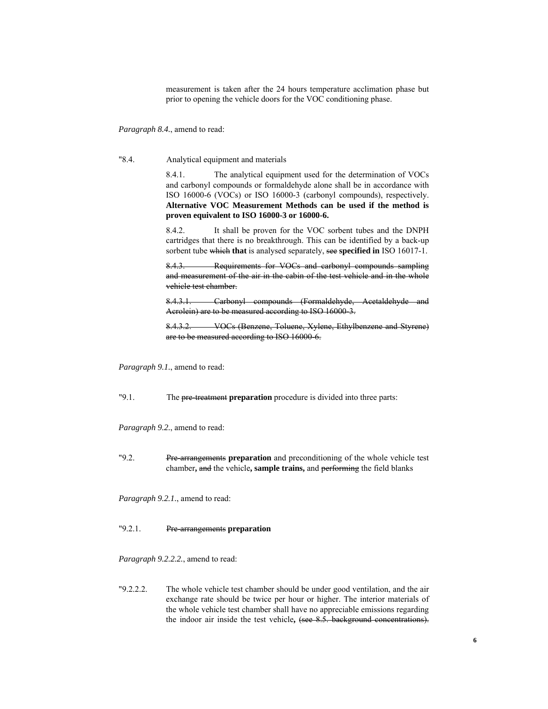measurement is taken after the 24 hours temperature acclimation phase but prior to opening the vehicle doors for the VOC conditioning phase.

*Paragraph 8.4.*, amend to read:

"8.4. Analytical equipment and materials

8.4.1. The analytical equipment used for the determination of VOCs and carbonyl compounds or formaldehyde alone shall be in accordance with ISO 16000-6 (VOCs) or ISO 16000-3 (carbonyl compounds), respectively. **Alternative VOC Measurement Methods can be used if the method is proven equivalent to ISO 16000-3 or 16000-6.** 

8.4.2. It shall be proven for the VOC sorbent tubes and the DNPH cartridges that there is no breakthrough. This can be identified by a back-up sorbent tube which **that** is analysed separately, see **specified in** ISO 16017-1.

8.4.3. Requirements for VOCs and carbonyl compounds sampling and measurement of the air in the cabin of the test vehicle and in the whole vehicle test chamber.

8.4.3.1. Carbonyl compounds (Formaldehyde, Acetaldehyde and Acrolein) are to be measured according to ISO 16000-3.

8.4.3.2. VOCs (Benzene, Toluene, Xylene, Ethylbenzene and Styrene) are to be measured according to ISO 16000-6.

*Paragraph 9.1.*, amend to read:

"9.1. The pre-treatment **preparation** procedure is divided into three parts:

*Paragraph 9.2.*, amend to read:

"9.2. Pre-arrangements **preparation** and preconditioning of the whole vehicle test chamber**,** and the vehicle**, sample trains,** and performing the field blanks

*Paragraph 9.2.1.*, amend to read:

## "9.2.1. Pre-arrangements **preparation**

*Paragraph 9.2.2.2.*, amend to read:

"9.2.2.2. The whole vehicle test chamber should be under good ventilation, and the air exchange rate should be twice per hour or higher. The interior materials of the whole vehicle test chamber shall have no appreciable emissions regarding the indoor air inside the test vehicle**,** (see 8.5. background concentrations).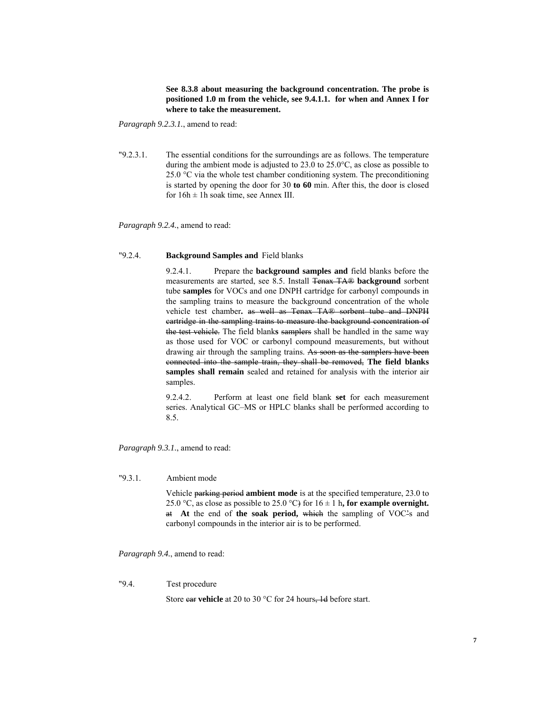### **See 8.3.8 about measuring the background concentration. The probe is positioned 1.0 m from the vehicle, see 9.4.1.1. for when and Annex I for where to take the measurement.**

*Paragraph 9.2.3.1.*, amend to read:

"9.2.3.1. The essential conditions for the surroundings are as follows. The temperature during the ambient mode is adjusted to 23.0 to 25.0°C, as close as possible to 25.0  $\degree$ C via the whole test chamber conditioning system. The preconditioning is started by opening the door for 30 **to 60** min. After this, the door is closed for  $16h \pm 1h$  soak time, see Annex III.

*Paragraph 9.2.4.*, amend to read:

## "9.2.4. **Background Samples and** Field blanks

9.2.4.1. Prepare the **background samples and** field blanks before the measurements are started, see 8.5. Install Tenax TA® **background** sorbent tube **samples** for VOCs and one DNPH cartridge for carbonyl compounds in the sampling trains to measure the background concentration of the whole vehicle test chamber. as well as Tenax TA® sorbent tube and DNPH cartridge in the sampling trains to measure the background concentration of the test vehicle. The field blank**s** samplers shall be handled in the same way as those used for VOC or carbonyl compound measurements, but without drawing air through the sampling trains. As soon as the samplers have been connected into the sample train, they shall be removed, **The field blanks samples shall remain** sealed and retained for analysis with the interior air samples.

9.2.4.2. Perform at least one field blank **set** for each measurement series. Analytical GC–MS or HPLC blanks shall be performed according to 8.5.

*Paragraph 9.3.1.*, amend to read:

#### "9.3.1. Ambient mode

Vehicle parking period **ambient mode** is at the specified temperature, 23.0 to 25.0 °C, as close as possible to 25.0 °C) for  $16 \pm 1$  h, for example overnight. at **At** the end of **the soak period,** which the sampling of VOC's and carbonyl compounds in the interior air is to be performed.

*Paragraph 9.4.*, amend to read:

#### "9.4. Test procedure

Store ear **vehicle** at 20 to 30 °C for 24 hours, 1d before start.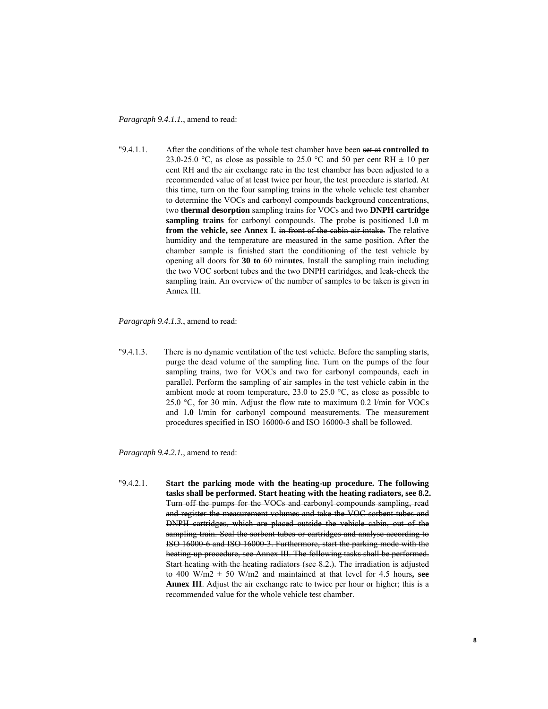*Paragraph 9.4.1.1.*, amend to read:

"9.4.1.1. After the conditions of the whole test chamber have been set at **controlled to**  23.0-25.0 °C, as close as possible to 25.0 °C and 50 per cent RH  $\pm$  10 per cent RH and the air exchange rate in the test chamber has been adjusted to a recommended value of at least twice per hour, the test procedure is started. At this time, turn on the four sampling trains in the whole vehicle test chamber to determine the VOCs and carbonyl compounds background concentrations, two **thermal desorption** sampling trains for VOCs and two **DNPH cartridge sampling trains** for carbonyl compounds. The probe is positioned 1**.0** m **from the vehicle, see Annex I.** in front of the cabin air intake. The relative humidity and the temperature are measured in the same position. After the chamber sample is finished start the conditioning of the test vehicle by opening all doors for **30 to** 60 min**utes**. Install the sampling train including the two VOC sorbent tubes and the two DNPH cartridges, and leak-check the sampling train. An overview of the number of samples to be taken is given in Annex III.

*Paragraph 9.4.1.3.*, amend to read:

"9.4.1.3. There is no dynamic ventilation of the test vehicle. Before the sampling starts, purge the dead volume of the sampling line. Turn on the pumps of the four sampling trains, two for VOCs and two for carbonyl compounds, each in parallel. Perform the sampling of air samples in the test vehicle cabin in the ambient mode at room temperature,  $23.0$  to  $25.0$  °C, as close as possible to 25.0 °C, for 30 min. Adjust the flow rate to maximum 0.2 l/min for VOCs and 1**.0** l/min for carbonyl compound measurements. The measurement procedures specified in ISO 16000-6 and ISO 16000-3 shall be followed.

*Paragraph 9.4.2.1.*, amend to read:

"9.4.2.1. **Start the parking mode with the heating-up procedure. The following tasks shall be performed. Start heating with the heating radiators, see 8.2.**  Turn off the pumps for the VOCs and carbonyl compounds sampling, read and register the measurement volumes and take the VOC sorbent tubes and DNPH cartridges, which are placed outside the vehicle cabin, out of the sampling train. Seal the sorbent tubes or cartridges and analyse according to ISO 16000-6 and ISO 16000-3. Furthermore, start the parking mode with the heating up procedure, see Annex III. The following tasks shall be performed. Start heating with the heating radiators (see 8.2.). The irradiation is adjusted to 400 W/m2  $\pm$  50 W/m2 and maintained at that level for 4.5 hours, see **Annex III**. Adjust the air exchange rate to twice per hour or higher; this is a recommended value for the whole vehicle test chamber.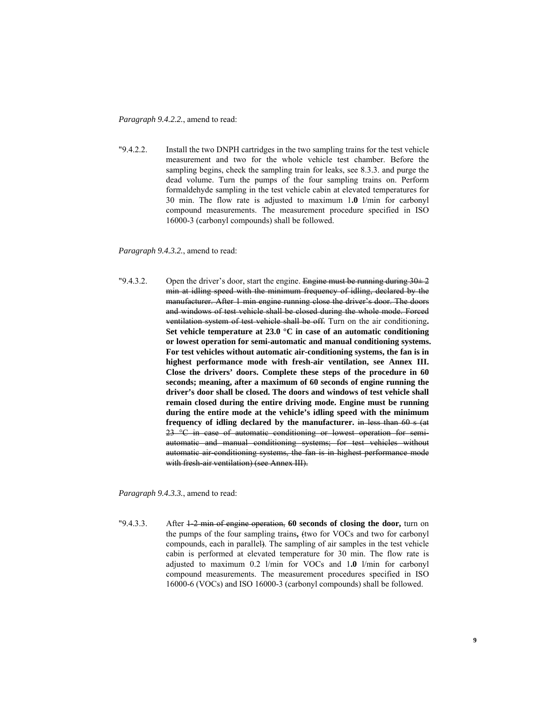*Paragraph 9.4.2.2.*, amend to read:

"9.4.2.2. Install the two DNPH cartridges in the two sampling trains for the test vehicle measurement and two for the whole vehicle test chamber. Before the sampling begins, check the sampling train for leaks, see 8.3.3. and purge the dead volume. Turn the pumps of the four sampling trains on. Perform formaldehyde sampling in the test vehicle cabin at elevated temperatures for 30 min. The flow rate is adjusted to maximum 1**.0** l/min for carbonyl compound measurements. The measurement procedure specified in ISO 16000-3 (carbonyl compounds) shall be followed.

*Paragraph 9.4.3.2.*, amend to read:

"9.4.3.2. Open the driver's door, start the engine. Engine must be running during  $30\pm 2$ min at idling speed with the minimum frequency of idling, declared by the manufacturer. After 1 min engine running close the driver's door. The doors and windows of test vehicle shall be closed during the whole mode. Forced ventilation system of test vehicle shall be off. Turn on the air conditioning**. Set vehicle temperature at 23.0 °C in case of an automatic conditioning or lowest operation for semi-automatic and manual conditioning systems. For test vehicles without automatic air-conditioning systems, the fan is in highest performance mode with fresh-air ventilation, see Annex III. Close the drivers' doors. Complete these steps of the procedure in 60 seconds; meaning, after a maximum of 60 seconds of engine running the driver's door shall be closed. The doors and windows of test vehicle shall remain closed during the entire driving mode. Engine must be running during the entire mode at the vehicle's idling speed with the minimum frequency of idling declared by the manufacturer.** in less than 60 s (at 23 °C in case of automatic conditioning or lowest operation for semiautomatic and manual conditioning systems; for test vehicles without automatic air-conditioning systems, the fan is in highest performance mode with fresh-air ventilation) (see Annex III).

*Paragraph 9.4.3.3.*, amend to read:

"9.4.3.3. After 1-2 min of engine operation, **60 seconds of closing the door,** turn on the pumps of the four sampling trains**,** (two for VOCs and two for carbonyl compounds, each in parallel). The sampling of air samples in the test vehicle cabin is performed at elevated temperature for 30 min. The flow rate is adjusted to maximum 0.2 l/min for VOCs and 1**.0** l/min for carbonyl compound measurements. The measurement procedures specified in ISO 16000-6 (VOCs) and ISO 16000-3 (carbonyl compounds) shall be followed.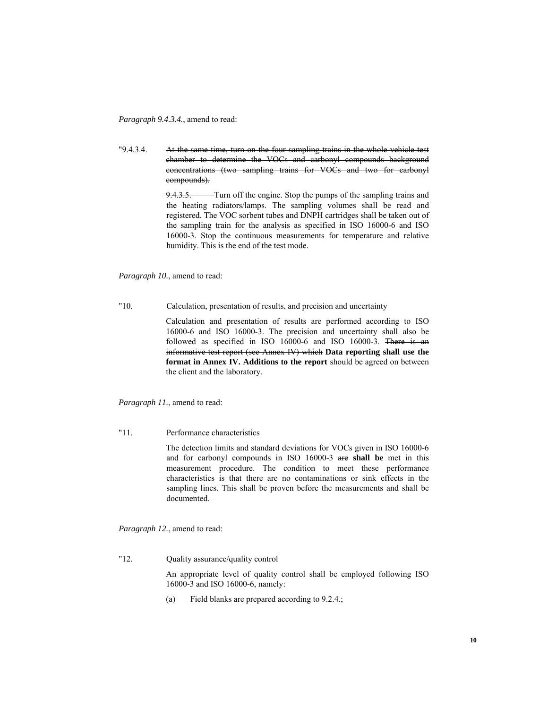*Paragraph 9.4.3.4.*, amend to read:

"9.4.3.4. At the same time, turn on the four sampling trains in the whole vehicle test chamber to determine the VOCs and carbonyl compounds background concentrations (two sampling trains for VOCs and two for carbonyl compounds).

> 9.4.3.5. Turn off the engine. Stop the pumps of the sampling trains and the heating radiators/lamps. The sampling volumes shall be read and registered. The VOC sorbent tubes and DNPH cartridges shall be taken out of the sampling train for the analysis as specified in ISO 16000-6 and ISO 16000-3. Stop the continuous measurements for temperature and relative humidity. This is the end of the test mode.

*Paragraph 10.*, amend to read:

"10. Calculation, presentation of results, and precision and uncertainty

Calculation and presentation of results are performed according to ISO 16000-6 and ISO 16000-3. The precision and uncertainty shall also be followed as specified in ISO 16000-6 and ISO 16000-3. There is an informative test report (see Annex IV) which **Data reporting shall use the format in Annex IV. Additions to the report** should be agreed on between the client and the laboratory.

*Paragraph 11.*, amend to read:

"11. Performance characteristics

The detection limits and standard deviations for VOCs given in ISO 16000-6 and for carbonyl compounds in ISO 16000-3 are **shall be** met in this measurement procedure. The condition to meet these performance characteristics is that there are no contaminations or sink effects in the sampling lines. This shall be proven before the measurements and shall be documented.

*Paragraph 12.*, amend to read:

"12. Quality assurance/quality control

An appropriate level of quality control shall be employed following ISO 16000-3 and ISO 16000-6, namely:

(a) Field blanks are prepared according to 9.2.4.;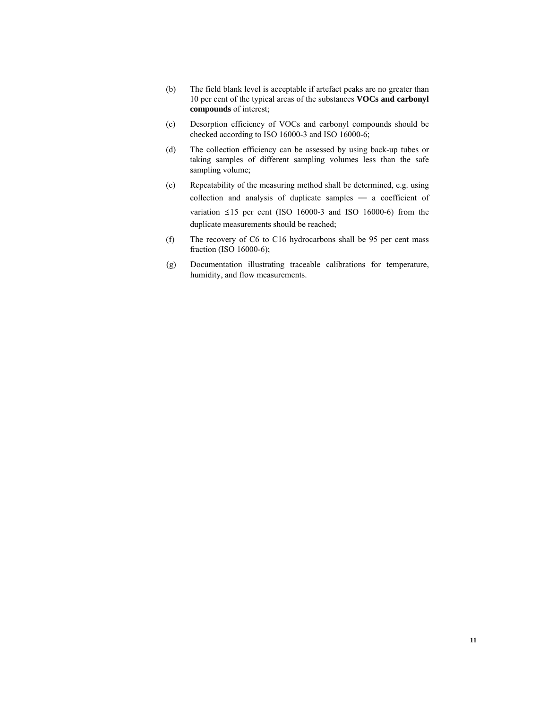- (b) The field blank level is acceptable if artefact peaks are no greater than 10 per cent of the typical areas of the substances **VOCs and carbonyl compounds** of interest;
- (c) Desorption efficiency of VOCs and carbonyl compounds should be checked according to ISO 16000-3 and ISO 16000-6;
- (d) The collection efficiency can be assessed by using back-up tubes or taking samples of different sampling volumes less than the safe sampling volume;
- (e) Repeatability of the measuring method shall be determined, e.g. using collection and analysis of duplicate samples — a coefficient of variation  $\leq 15$  per cent (ISO 16000-3 and ISO 16000-6) from the duplicate measurements should be reached;
- (f) The recovery of C6 to C16 hydrocarbons shall be 95 per cent mass fraction (ISO 16000-6);
- (g) Documentation illustrating traceable calibrations for temperature, humidity, and flow measurements.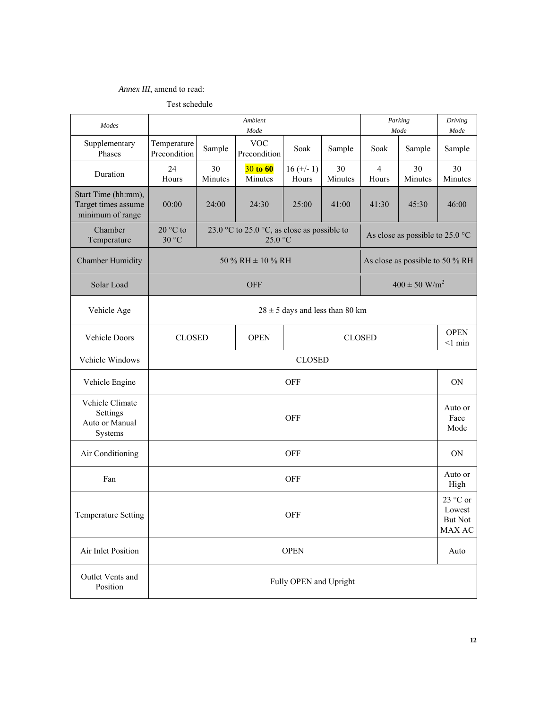## *Annex III*, amend to read:

Test schedule

| Modes                                                          | Ambient<br>Parking<br>Mode<br>Mode                           |                                                        |                                                        |                        |               |                         | Driving<br>Mode                           |                         |  |
|----------------------------------------------------------------|--------------------------------------------------------------|--------------------------------------------------------|--------------------------------------------------------|------------------------|---------------|-------------------------|-------------------------------------------|-------------------------|--|
| Supplementary<br>Phases                                        | Temperature<br>Precondition                                  | <b>VOC</b><br>Sample<br>Soak<br>Sample<br>Precondition |                                                        |                        |               | Soak                    | Sample                                    | Sample                  |  |
| Duration                                                       | 24<br>Hours                                                  | 30<br>Minutes                                          | 30 to 60<br>$16 (+/- 1)$<br>Minutes<br>Hours           |                        | 30<br>Minutes | $\overline{4}$<br>Hours | 30<br>Minutes                             | 30<br>Minutes           |  |
| Start Time (hh:mm),<br>Target times assume<br>minimum of range | 00:00                                                        | 24:00<br>25:00<br>24:30<br>41:00                       |                                                        |                        | 41:30         | 45:30                   | 46:00                                     |                         |  |
| Chamber<br>Temperature                                         | 20 °C to<br>30 °C                                            |                                                        | 23.0 °C to 25.0 °C, as close as possible to<br>25.0 °C |                        |               |                         | As close as possible to 25.0 $^{\circ}$ C |                         |  |
| <b>Chamber Humidity</b>                                        |                                                              |                                                        | 50 % RH $\pm$ 10 % RH                                  |                        |               |                         | As close as possible to 50 % RH           |                         |  |
| Solar Load                                                     |                                                              |                                                        | <b>OFF</b>                                             |                        |               |                         | $400 \pm 50$ W/m <sup>2</sup>             |                         |  |
| Vehicle Age                                                    |                                                              | $28 \pm 5$ days and less than 80 km                    |                                                        |                        |               |                         |                                           |                         |  |
| Vehicle Doors                                                  |                                                              | <b>OPEN</b><br><b>CLOSED</b><br><b>CLOSED</b>          |                                                        |                        |               |                         |                                           | <b>OPEN</b><br>$<1$ min |  |
| Vehicle Windows                                                |                                                              | <b>CLOSED</b>                                          |                                                        |                        |               |                         |                                           |                         |  |
| Vehicle Engine                                                 | <b>OFF</b>                                                   |                                                        |                                                        |                        |               |                         |                                           | <b>ON</b>               |  |
| Vehicle Climate<br>Settings<br>Auto or Manual<br>Systems       |                                                              | Auto or<br><b>OFF</b>                                  |                                                        |                        |               |                         |                                           |                         |  |
| Air Conditioning                                               |                                                              |                                                        |                                                        | <b>OFF</b>             |               |                         |                                           | <b>ON</b>               |  |
| Fan                                                            |                                                              |                                                        |                                                        | <b>OFF</b>             |               |                         |                                           | Auto or<br>High         |  |
| Temperature Setting                                            | 23 °C or<br>Lowest<br><b>OFF</b><br><b>But Not</b><br>MAX AC |                                                        |                                                        |                        |               |                         |                                           |                         |  |
| Air Inlet Position                                             |                                                              |                                                        |                                                        | <b>OPEN</b>            |               |                         |                                           | Auto                    |  |
| Outlet Vents and<br>Position                                   |                                                              |                                                        |                                                        | Fully OPEN and Upright |               |                         |                                           |                         |  |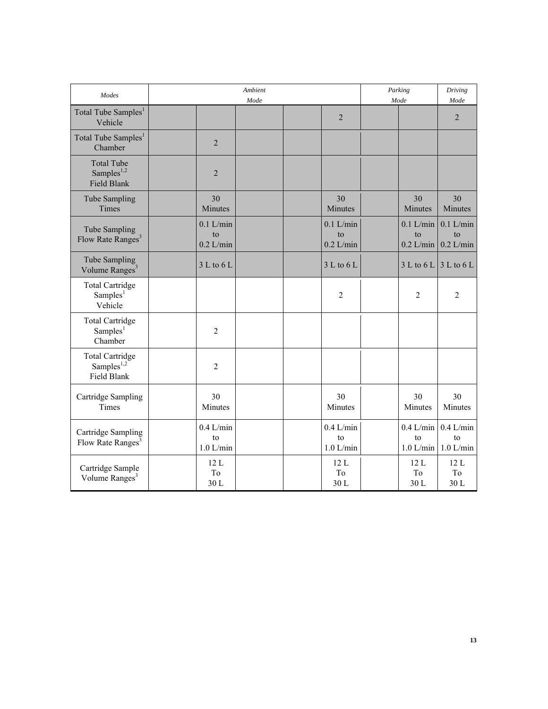| <b>Modes</b>                                                |                                  | Ambient<br>Mode |                                  | Mode | Parking                          | Driving<br>Mode                  |
|-------------------------------------------------------------|----------------------------------|-----------------|----------------------------------|------|----------------------------------|----------------------------------|
| Total Tube Samples <sup>1</sup><br>Vehicle                  |                                  |                 | $\overline{2}$                   |      |                                  | $\overline{2}$                   |
| Total Tube Samples <sup>1</sup><br>Chamber                  | $\overline{2}$                   |                 |                                  |      |                                  |                                  |
| <b>Total Tube</b><br>Samples $^{1,2}$<br><b>Field Blank</b> | $\overline{2}$                   |                 |                                  |      |                                  |                                  |
| Tube Sampling<br>Times                                      | 30<br>Minutes                    |                 | 30<br>Minutes                    |      | 30<br>Minutes                    | 30<br>Minutes                    |
| Tube Sampling<br>Flow Rate Ranges <sup>3</sup>              | $0.1$ L/min<br>to<br>$0.2$ L/min |                 | $0.1$ L/min<br>to<br>$0.2$ L/min |      | $0.1$ L/min<br>to<br>$0.2$ L/min | $0.1$ L/min<br>to<br>$0.2$ L/min |
| Tube Sampling<br>Volume Ranges <sup>3</sup>                 | 3 L to 6 L                       |                 | 3 L to 6 L                       |      | 3 L to 6 L                       | 3 L to 6 L                       |
| <b>Total Cartridge</b><br>Samples <sup>1</sup><br>Vehicle   |                                  |                 | $\overline{2}$                   |      | 2                                | $\overline{2}$                   |
| <b>Total Cartridge</b><br>Samples <sup>1</sup><br>Chamber   | $\overline{2}$                   |                 |                                  |      |                                  |                                  |
| <b>Total Cartridge</b><br>Samples $^{1,2}$<br>Field Blank   | $\overline{2}$                   |                 |                                  |      |                                  |                                  |
| Cartridge Sampling<br>Times                                 | 30<br>Minutes                    |                 | 30<br>Minutes                    |      | 30<br>Minutes                    | 30<br>Minutes                    |
| Cartridge Sampling<br>Flow Rate Ranges <sup>3</sup>         | $0.4$ L/min<br>to<br>$1.0$ L/min |                 | $0.4$ L/min<br>to<br>$1.0$ L/min |      | $0.4$ L/min<br>to<br>$1.0$ L/min | $0.4$ L/min<br>to<br>$1.0$ L/min |
| Cartridge Sample<br>Volume Ranges <sup>3</sup>              | 12L<br>To<br>30 L                |                 | 12L<br>To<br>30L                 |      | 12L<br>T <sub>o</sub><br>30L     | 12L<br>To<br>30L                 |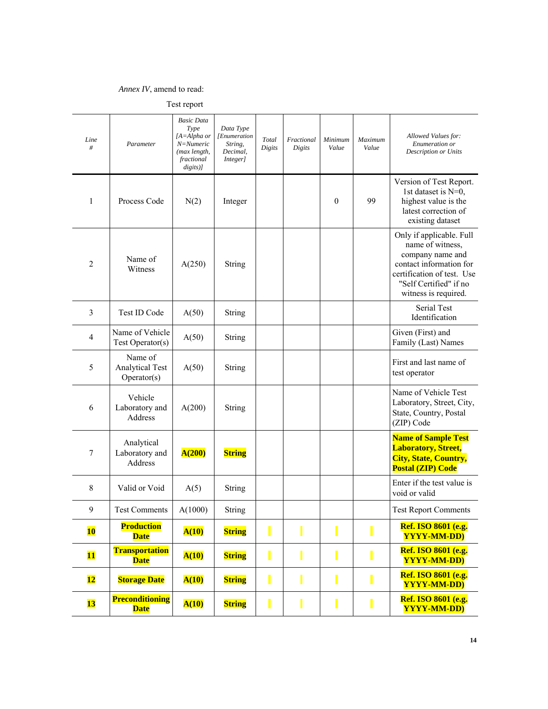## *Annex IV*, amend to read:

| Line<br>#                | Parameter                                        | <b>Basic Data</b><br>Type<br>[A=Alpha or<br>$N = N$ umeric<br>(max length,<br>fractional<br>digits)] | Data Type<br><i>Enumeration</i><br>String,<br>Decimal,<br>Integer] | Total<br>Digits | Fractional<br>Digits | Minimum<br>Value | Maximum<br>Value | Allowed Values for:<br>Enumeration or<br>Description or Units                                                                                                               |
|--------------------------|--------------------------------------------------|------------------------------------------------------------------------------------------------------|--------------------------------------------------------------------|-----------------|----------------------|------------------|------------------|-----------------------------------------------------------------------------------------------------------------------------------------------------------------------------|
| 1                        | Process Code                                     | N(2)                                                                                                 | Integer                                                            |                 |                      | $\theta$         | 99               | Version of Test Report.<br>1st dataset is N=0,<br>highest value is the<br>latest correction of<br>existing dataset                                                          |
| $\overline{c}$           | Name of<br>Witness                               | A(250)                                                                                               | String                                                             |                 |                      |                  |                  | Only if applicable. Full<br>name of witness,<br>company name and<br>contact information for<br>certification of test. Use<br>"Self Certified" if no<br>witness is required. |
| 3                        | Test ID Code                                     | A(50)                                                                                                | String                                                             |                 |                      |                  |                  | Serial Test<br>Identification                                                                                                                                               |
| $\overline{\mathcal{A}}$ | Name of Vehicle<br>Test Operator(s)              | A(50)                                                                                                | String                                                             |                 |                      |                  |                  | Given (First) and<br>Family (Last) Names                                                                                                                                    |
| 5                        | Name of<br><b>Analytical Test</b><br>Operator(s) | A(50)                                                                                                | String                                                             |                 |                      |                  |                  | First and last name of<br>test operator                                                                                                                                     |
| 6                        | Vehicle<br>Laboratory and<br>Address             | A(200)                                                                                               | String                                                             |                 |                      |                  |                  | Name of Vehicle Test<br>Laboratory, Street, City,<br>State, Country, Postal<br>(ZIP) Code                                                                                   |
| 7                        | Analytical<br>Laboratory and<br>Address          | A(200)                                                                                               | <b>String</b>                                                      |                 |                      |                  |                  | <b>Name of Sample Test</b><br><b>Laboratory, Street,</b><br><b>City, State, Country,</b><br><b>Postal (ZIP) Code</b>                                                        |
| $\,8\,$                  | Valid or Void                                    | A(5)                                                                                                 | String                                                             |                 |                      |                  |                  | Enter if the test value is<br>void or valid                                                                                                                                 |
| 9                        | <b>Test Comments</b>                             | A(1000)                                                                                              | String                                                             |                 |                      |                  |                  | <b>Test Report Comments</b>                                                                                                                                                 |
| <b>10</b>                | <b>Production</b><br><b>Date</b>                 | A(10)                                                                                                | <b>String</b>                                                      |                 |                      | Π                |                  | Ref. ISO 8601 (e.g.<br><b>YYYY-MM-DD</b> )                                                                                                                                  |
| $\overline{\mathbf{11}}$ | <b>Transportation</b><br><b>Date</b>             | A(10)                                                                                                | <b>String</b>                                                      |                 | I                    | Ι                |                  | <b>Ref. ISO 8601 (e.g.</b><br><b>YYYY-MM-DD</b> )                                                                                                                           |
| $\overline{\mathbf{12}}$ | <b>Storage Date</b>                              | A(10)                                                                                                | <b>String</b>                                                      |                 |                      |                  |                  | Ref. ISO 8601 (e.g.<br><b>YYYY-MM-DD</b> )                                                                                                                                  |
| <b>13</b>                | <b>Preconditioning</b><br><b>Date</b>            | A(10)                                                                                                | <b>String</b>                                                      | L               | $\blacksquare$       | I                |                  | Ref. ISO 8601 (e.g.<br><b>YYYY-MM-DD)</b>                                                                                                                                   |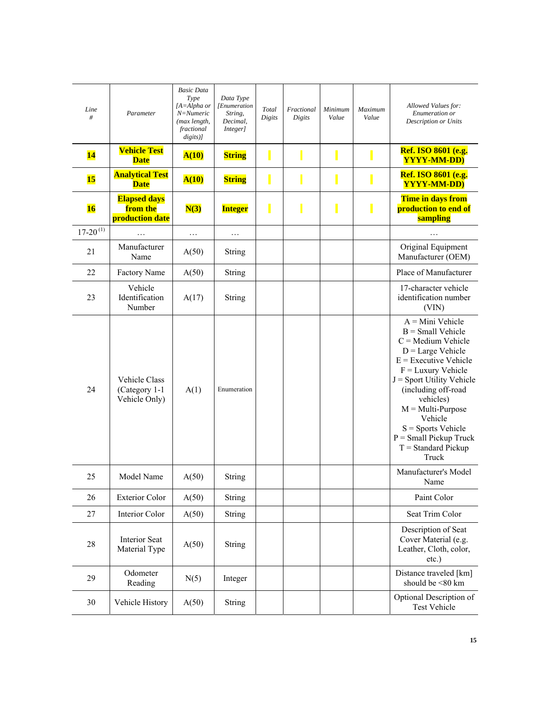| Line<br>#       | Parameter                                              | <b>Basic Data</b><br>Type<br>[A=Alpha or<br>N=Numeric<br>(max length,<br>fractional<br>$disits)$ ] | Data Type<br>[Enumeration<br>String,<br>Decimal,<br>Integer] | Total<br>Digits | Fractional<br>Digits | Minimum<br>Value | Maximum<br>Value | Allowed Values for:<br>Enumeration or<br><b>Description or Units</b>                                                                                                                                                                                                                                                                   |
|-----------------|--------------------------------------------------------|----------------------------------------------------------------------------------------------------|--------------------------------------------------------------|-----------------|----------------------|------------------|------------------|----------------------------------------------------------------------------------------------------------------------------------------------------------------------------------------------------------------------------------------------------------------------------------------------------------------------------------------|
| 14              | <b>Vehicle Test</b><br><b>Date</b>                     | A(10)                                                                                              | <b>String</b>                                                |                 |                      |                  |                  | Ref. ISO 8601 (e.g.<br>YYYY-MM-DD)                                                                                                                                                                                                                                                                                                     |
| <b>15</b>       | <b>Analytical Test</b><br><b>Date</b>                  | A(10)                                                                                              | <b>String</b>                                                | I               |                      |                  |                  | Ref. ISO 8601 (e.g.<br><b>YYYY-MM-DD</b> )                                                                                                                                                                                                                                                                                             |
| 16              | <b>Elapsed days</b><br>from the<br>production date     | N(3)                                                                                               | <b>Integer</b>                                               | I               |                      |                  |                  | Time in days from<br>production to end of<br>sampling                                                                                                                                                                                                                                                                                  |
| $17 - 20^{(1)}$ | .                                                      | .                                                                                                  | $\cdots$                                                     |                 |                      |                  |                  | $\cdots$                                                                                                                                                                                                                                                                                                                               |
| 21              | Manufacturer<br>Name                                   | A(50)                                                                                              | String                                                       |                 |                      |                  |                  | Original Equipment<br>Manufacturer (OEM)                                                                                                                                                                                                                                                                                               |
| 22              | <b>Factory Name</b>                                    | A(50)                                                                                              | String                                                       |                 |                      |                  |                  | Place of Manufacturer                                                                                                                                                                                                                                                                                                                  |
| 23              | Vehicle<br>Identification<br>Number                    | A(17)                                                                                              | String                                                       |                 |                      |                  |                  | 17-character vehicle<br>identification number<br>(VIN)                                                                                                                                                                                                                                                                                 |
| 24              | <b>Vehicle Class</b><br>(Category 1-1<br>Vehicle Only) | A(1)                                                                                               | Enumeration                                                  |                 |                      |                  |                  | $A = Mini$ Vehicle<br>$B = Small$ Vehicle<br>$C =$ Medium Vehicle<br>$D = Large Vehicle$<br>$E =$ Executive Vehicle<br>$F =$ Luxury Vehicle<br>$J =$ Sport Utility Vehicle<br>(including off-road<br>vehicles)<br>$M = Multi-Purpose$<br>Vehicle<br>$S =$ Sports Vehicle<br>$P = Small$ Pickup Truck<br>$T = Standard Pickup$<br>Truck |
| 25              | Model Name                                             | A(50)                                                                                              | String                                                       |                 |                      |                  |                  | Manufacturer's Model<br>Name                                                                                                                                                                                                                                                                                                           |
| 26              | <b>Exterior Color</b>                                  | A(50)                                                                                              | <b>String</b>                                                |                 |                      |                  |                  | Paint Color                                                                                                                                                                                                                                                                                                                            |
| 27              | Interior Color                                         | A(50)                                                                                              | <b>String</b>                                                |                 |                      |                  |                  | Seat Trim Color                                                                                                                                                                                                                                                                                                                        |
| 28              | Interior Seat<br>Material Type                         | A(50)                                                                                              | String                                                       |                 |                      |                  |                  | Description of Seat<br>Cover Material (e.g.<br>Leather, Cloth, color,<br>etc.)                                                                                                                                                                                                                                                         |
| 29              | Odometer<br>Reading                                    | N(5)                                                                                               | Integer                                                      |                 |                      |                  |                  | Distance traveled [km]<br>should be <80 km                                                                                                                                                                                                                                                                                             |
| 30              | Vehicle History                                        | A(50)                                                                                              | String                                                       |                 |                      |                  |                  | Optional Description of<br><b>Test Vehicle</b>                                                                                                                                                                                                                                                                                         |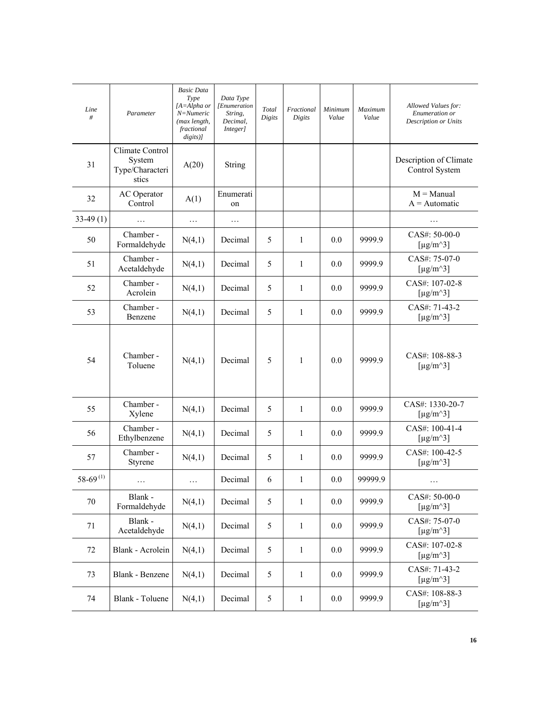| Line<br>#       | Parameter                                             | <b>Basic Data</b><br>Type<br>[A=Alpha or<br>N=Numeric<br>(max length,<br>fractional<br>$disits)$ ] | Data Type<br>[Enumeration<br>String,<br>Decimal,<br>Integer] | Total<br>Digits | Fractional<br>Digits | Minimum<br>Value | Maximum<br>Value | Allowed Values for:<br>Enumeration or<br>Description or Units  |
|-----------------|-------------------------------------------------------|----------------------------------------------------------------------------------------------------|--------------------------------------------------------------|-----------------|----------------------|------------------|------------------|----------------------------------------------------------------|
| 31              | Climate Control<br>System<br>Type/Characteri<br>stics | A(20)                                                                                              | String                                                       |                 |                      |                  |                  | Description of Climate<br>Control System                       |
| 32              | <b>AC</b> Operator<br>Control                         | A(1)                                                                                               | Enumerati<br>on                                              |                 |                      |                  |                  | $M =$ Manual<br>$A =$ Automatic                                |
| $33-49(1)$      | .                                                     | $\ldots$                                                                                           | .                                                            |                 |                      |                  |                  |                                                                |
| 50              | Chamber -<br>Formaldehyde                             | N(4,1)                                                                                             | Decimal                                                      | 5               | 1                    | 0.0              | 9999.9           | CAS#: 50-00-0<br>[ $\mu$ g/m <sup><math>\land</math>3]</sup>   |
| 51              | Chamber -<br>Acetaldehyde                             | N(4,1)                                                                                             | Decimal                                                      | 5               | $\mathbf{1}$         | 0.0              | 9999.9           | CAS#: 75-07-0<br>[ $\mu$ g/m <sup><math>\land</math>3]</sup>   |
| 52              | Chamber -<br>Acrolein                                 | N(4,1)                                                                                             | Decimal                                                      | 5               | 1                    | 0.0              | 9999.9           | CAS#: 107-02-8<br>[ $\mu$ g/m <sup><math>\land</math>3]</sup>  |
| 53              | Chamber -<br>Benzene                                  | N(4,1)                                                                                             | Decimal                                                      | 5               | 1                    | 0.0              | 9999.9           | CAS#: 71-43-2<br>[ $\mu$ g/m <sup><math>\land</math></sup> 3]  |
| 54              | Chamber -<br>Toluene                                  | N(4,1)                                                                                             | Decimal                                                      | 5               | $\mathbf{1}$         | 0.0              | 9999.9           | CAS#: 108-88-3<br>[ $\mu$ g/m <sup><math>\land</math>3]</sup>  |
| 55              | Chamber -<br>Xylene                                   | N(4,1)                                                                                             | Decimal                                                      | 5               | $\mathbf{1}$         | 0.0              | 9999.9           | CAS#: 1330-20-7<br>[ $\mu$ g/m <sup><math>\land</math>3]</sup> |
| 56              | Chamber -<br>Ethylbenzene                             | N(4,1)                                                                                             | Decimal                                                      | 5               | $\mathbf{1}$         | 0.0              | 9999.9           | CAS#: 100-41-4<br>[ $\mu$ g/m <sup><math>\land</math>3]</sup>  |
| 57              | Chamber -<br>Styrene                                  | N(4,1)                                                                                             | Decimal                                                      | 5               | $\mathbf{1}$         | 0.0              | 9999.9           | CAS#: 100-42-5<br>[ $\mu$ g/m <sup><math>\land</math>3]</sup>  |
| $58 - 69^{(1)}$ | $\cdots$                                              | $\cdots$                                                                                           | Decimal                                                      | 6               | $\mathbf{1}$         | 0.0              | 99999.9          | .                                                              |
| $70\,$          | Blank -<br>Formaldehyde                               | N(4,1)                                                                                             | Decimal                                                      | 5               | $\mathbf{1}$         | $0.0\,$          | 9999.9           | CAS#: 50-00-0<br>[ $\mu$ g/m <sup><math>\land</math>3]</sup>   |
| 71              | Blank -<br>Acetaldehyde                               | N(4,1)                                                                                             | Decimal                                                      | 5               | $\mathbf{1}$         | $0.0\,$          | 9999.9           | CAS#: 75-07-0<br>[ $\mu$ g/m <sup><math>\land</math></sup> 3]  |
| 72              | Blank - Acrolein                                      | N(4,1)                                                                                             | Decimal                                                      | 5               | $\mathbf{1}$         | 0.0              | 9999.9           | CAS#: 107-02-8<br>[ $\mu$ g/m <sup><math>\land</math>3]</sup>  |
| 73              | Blank - Benzene                                       | N(4,1)                                                                                             | Decimal                                                      | 5               | $\mathbf{1}$         | $0.0\,$          | 9999.9           | CAS#: 71-43-2<br>[ $\mu$ g/m <sup><math>\land</math></sup> 3]  |
| 74              | Blank - Toluene                                       | N(4,1)                                                                                             | Decimal                                                      | 5               | $\mathbf{1}$         | 0.0              | 9999.9           | CAS#: 108-88-3<br>[ $\mu$ g/m <sup><math>\land</math></sup> 3] |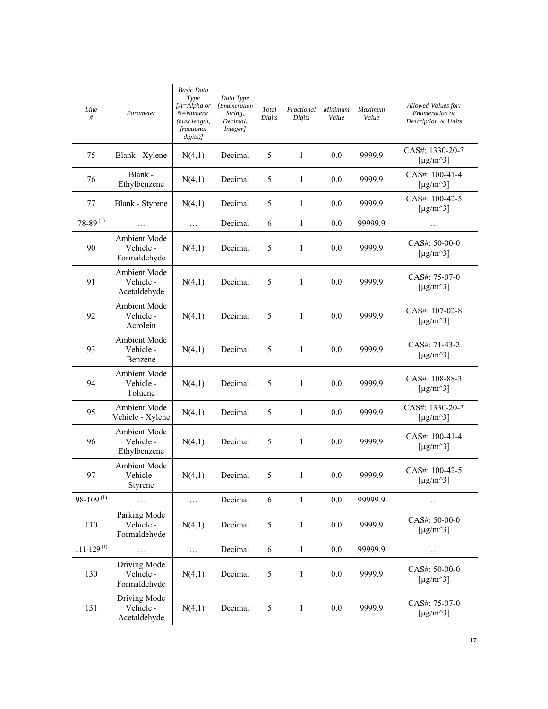| Line<br>#                  | Parameter                                 | <b>Basic Data</b><br>Type<br>[A=Alpha or<br>N=Numeric<br>(max length,<br>fractional<br>$disits)$ ] | Data Type<br>[Enumeration<br>String,<br>Decimal,<br>Integer] | Total<br>Digits | Fractional<br>Digits | Minimum<br>Value | Maximum<br>Value | Allowed Values for:<br>Enumeration or<br>Description or Units    |
|----------------------------|-------------------------------------------|----------------------------------------------------------------------------------------------------|--------------------------------------------------------------|-----------------|----------------------|------------------|------------------|------------------------------------------------------------------|
| 75                         | Blank - Xylene                            | N(4,1)                                                                                             | Decimal                                                      | 5               | $\mathbf{1}$         | 0.0              | 9999.9           | CAS#: 1330-20-7<br>[ $\mu$ g/m <sup><math>\land</math>3]</sup>   |
| 76                         | Blank -<br>Ethylbenzene                   | N(4,1)                                                                                             | Decimal                                                      | 5               | $\mathbf{1}$         | 0.0              | 9999.9           | CAS#: 100-41-4<br>[ $\mu$ g/m <sup><math>\land</math></sup> 3]   |
| 77                         | Blank - Styrene                           | N(4,1)                                                                                             | Decimal                                                      | 5               | $\mathbf{1}$         | 0.0              | 9999.9           | CAS#: 100-42-5<br>[ $\mu$ g/m <sup><math>\land</math>3]</sup>    |
| $78 - 89^{(1)}$            | .                                         | $\ldots$                                                                                           | Decimal                                                      | 6               | $\mathbf{1}$         | 0.0              | 99999.9          | .                                                                |
| 90                         | Ambient Mode<br>Vehicle -<br>Formaldehyde | N(4,1)                                                                                             | Decimal                                                      | 5               | $\mathbf{1}$         | 0.0              | 9999.9           | CAS#: 50-00-0<br>[ $\mu$ g/m <sup><math>\land</math></sup> 3]    |
| 91                         | Ambient Mode<br>Vehicle -<br>Acetaldehyde | N(4,1)                                                                                             | Decimal                                                      | 5               | 1                    | 0.0              | 9999.9           | CAS#: 75-07-0<br>[ $\mu$ g/m <sup><math>\land</math>3]</sup>     |
| 92                         | Ambient Mode<br>Vehicle -<br>Acrolein     | N(4,1)                                                                                             | Decimal                                                      | 5               | $\mathbf{1}$         | 0.0              | 9999.9           | $CAS#: 107-02-8$<br>[ $\mu$ g/m <sup><math>\land</math></sup> 3] |
| 93                         | Ambient Mode<br>Vehicle -<br>Benzene      | N(4,1)                                                                                             | Decimal                                                      | 5               | $\mathbf{1}$         | 0.0              | 9999.9           | CAS#: 71-43-2<br>[ $\mu$ g/m <sup><math>\land</math>3]</sup>     |
| 94                         | Ambient Mode<br>Vehicle -<br>Toluene      | N(4,1)                                                                                             | Decimal                                                      | 5               | 1                    | 0.0              | 9999.9           | CAS#: 108-88-3<br>[ $\mu$ g/m <sup><math>\land</math>3]</sup>    |
| 95                         | Ambient Mode<br>Vehicle - Xylene          | N(4,1)                                                                                             | Decimal                                                      | 5               | $\mathbf{1}$         | 0.0              | 9999.9           | CAS#: 1330-20-7<br>[ $\mu$ g/m <sup><math>\land</math>3]</sup>   |
| 96                         | Ambient Mode<br>Vehicle -<br>Ethylbenzene | N(4,1)                                                                                             | Decimal                                                      | 5               | 1                    | 0.0              | 9999.9           | CAS#: 100-41-4<br>[ $\mu$ g/m <sup><math>\land</math>3]</sup>    |
| 97                         | Ambient Mode<br>Vehicle -<br>Styrene      | N(4,1)                                                                                             | Decimal                                                      | 5               | $\mathbf{1}$         | 0.0              | 9999.9           | CAS#: 100-42-5<br>[ $\mu$ g/m^3]                                 |
| $98-109^{(1)}$             |                                           | $\ldots$                                                                                           | Decimal                                                      | 6               | $\mathbf{1}$         | 0.0              | 99999.9          | $\cdots$                                                         |
| 110                        | Parking Mode<br>Vehicle -<br>Formaldehyde | N(4,1)                                                                                             | Decimal                                                      | 5               | 1                    | 0.0              | 9999.9           | CAS#: 50-00-0<br>[ $\mu$ g/m <sup><math>\land</math>3]</sup>     |
| $111 - 129$ <sup>(1)</sup> | $\ldots$                                  | $\ldots$                                                                                           | Decimal                                                      | 6               | $\mathbf{1}$         | 0.0              | 99999.9          | .                                                                |
| 130                        | Driving Mode<br>Vehicle -<br>Formaldehyde | N(4,1)                                                                                             | Decimal                                                      | 5               | $\mathbf{1}$         | 0.0              | 9999.9           | CAS#: 50-00-0<br>[ $\mu$ g/m <sup><math>\land</math>3]</sup>     |
| 131                        | Driving Mode<br>Vehicle -<br>Acetaldehyde | N(4,1)                                                                                             | Decimal                                                      | 5               | $\mathbf{1}$         | 0.0              | 9999.9           | CAS#: 75-07-0<br>[ $\mu$ g/m <sup><math>\land</math>3]</sup>     |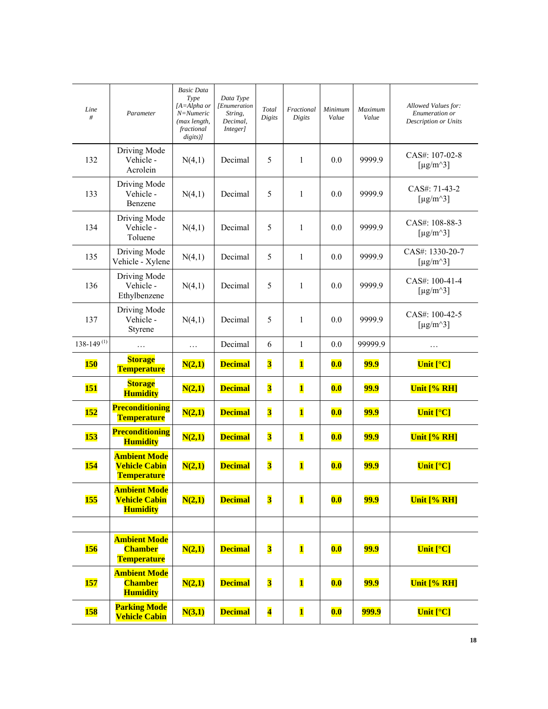| Line            | Parameter                                                         | <b>Basic Data</b><br>Type<br>$[A=Alpha or$<br>N=Numeric | Data Type<br>[Enumeration<br>String, | Total                   | Fractional              | Minimum | Maximum     | Allowed Values for:<br>Enumeration or                           |
|-----------------|-------------------------------------------------------------------|---------------------------------------------------------|--------------------------------------|-------------------------|-------------------------|---------|-------------|-----------------------------------------------------------------|
| #               |                                                                   | (max length,<br>fractional<br>$disits)$ ]               | Decimal,<br>Integer]                 | Digits                  | Digits                  | Value   | Value       | Description or Units                                            |
| 132             | Driving Mode<br>Vehicle -<br>Acrolein                             | N(4,1)                                                  | Decimal                              | 5                       | 1                       | 0.0     | 9999.9      | CAS#: 107-02-8<br>[ $\mu$ g/m <sup><math>\land</math></sup> 3]  |
| 133             | Driving Mode<br>Vehicle -<br>Benzene                              | N(4,1)                                                  | Decimal                              | 5                       | $\mathbf{1}$            | 0.0     | 9999.9      | CAS#: 71-43-2<br>[ $\mu$ g/m <sup><math>\land</math>3]</sup>    |
| 134             | Driving Mode<br>Vehicle -<br>Toluene                              | N(4,1)                                                  | Decimal                              | 5                       | $\mathbf{1}$            | 0.0     | 9999.9      | CAS#: 108-88-3<br>[ $\mu$ g/m <sup><math>\land</math></sup> 3]  |
| 135             | Driving Mode<br>Vehicle - Xylene                                  | N(4,1)                                                  | Decimal                              | 5                       | 1                       | 0.0     | 9999.9      | CAS#: 1330-20-7<br>[ $\mu$ g/m <sup><math>\land</math>3]</sup>  |
| 136             | Driving Mode<br>Vehicle -<br>Ethylbenzene                         | N(4,1)                                                  | Decimal                              | 5                       | $\mathbf{1}$            | 0.0     | 9999.9      | $CAS#: 100-41-4$<br>[ $\mu$ g/m <sup><math>\land</math>3]</sup> |
| 137             | Driving Mode<br>Vehicle -<br>Styrene                              | N(4,1)                                                  | Decimal                              | 5                       | $\mathbf{1}$            | 0.0     | 9999.9      | CAS#: 100-42-5<br>[ $\mu$ g/m <sup><math>\land</math></sup> 3]  |
| $138-149^{(1)}$ |                                                                   | $\ldots$                                                | Decimal                              | 6                       | $\mathbf{1}$            | 0.0     | 99999.9     | $\ldots$                                                        |
|                 | <b>Storage</b>                                                    |                                                         |                                      |                         |                         |         |             |                                                                 |
| <b>150</b>      | <b>Temperature</b>                                                | N(2,1)                                                  | <b>Decimal</b>                       | $\overline{\mathbf{3}}$ | $\mathbf{1}$            | 0.0     | <b>99.9</b> | Unit $[°C]$                                                     |
| <b>151</b>      | <b>Storage</b><br><b>Humidity</b>                                 | N(2,1)                                                  | <b>Decimal</b>                       | $\overline{\mathbf{3}}$ | $\overline{\mathbf{1}}$ | 0.0     | <b>99.9</b> | Unit [% RH]                                                     |
| <b>152</b>      | <b>Preconditioning</b><br>Temperature                             | N(2,1)                                                  | <b>Decimal</b>                       | $\overline{\mathbf{3}}$ | $\overline{\mathbf{1}}$ | 0.0     | <b>99.9</b> | Unit $[°C]$                                                     |
| <b>153</b>      | <b>Preconditioning</b><br><b>Humidity</b>                         | N(2,1)                                                  | <b>Decimal</b>                       | $\overline{\mathbf{3}}$ | $\mathbf{1}$            | 0.0     | <b>99.9</b> | Unit [% RH]                                                     |
| <b>154</b>      | <b>Ambient Mode</b><br><b>Vehicle Cabin</b><br><b>Temperature</b> | N(2,1)                                                  | <b>Decimal</b>                       | $\overline{\mathbf{3}}$ | $\overline{\mathbf{1}}$ | 0.0     | <u>99.9</u> | Unit $[°C]$                                                     |
| <b>155</b>      | <b>Ambient Mode</b><br><b>Vehicle Cabin</b><br><b>Humidity</b>    | N(2,1)                                                  | <b>Decimal</b>                       | $\overline{\mathbf{3}}$ | $\overline{\mathbf{1}}$ | 0.0     | <u>99.9</u> | Unit [% RH]                                                     |
|                 |                                                                   |                                                         |                                      |                         |                         |         |             |                                                                 |
| <b>156</b>      | <b>Ambient Mode</b><br><b>Chamber</b><br>Temperature              | N(2,1)                                                  | <b>Decimal</b>                       | $\overline{\mathbf{3}}$ | $\overline{\mathbf{1}}$ | 0.0     | <u>99.9</u> | Unit $[°C]$                                                     |
| 157             | <b>Ambient Mode</b><br><b>Chamber</b><br><b>Humidity</b>          | N(2,1)                                                  | <b>Decimal</b>                       | $\overline{\mathbf{3}}$ | $\mathbf{1}$            | 0.0     | <u>99.9</u> | Unit [% RH]                                                     |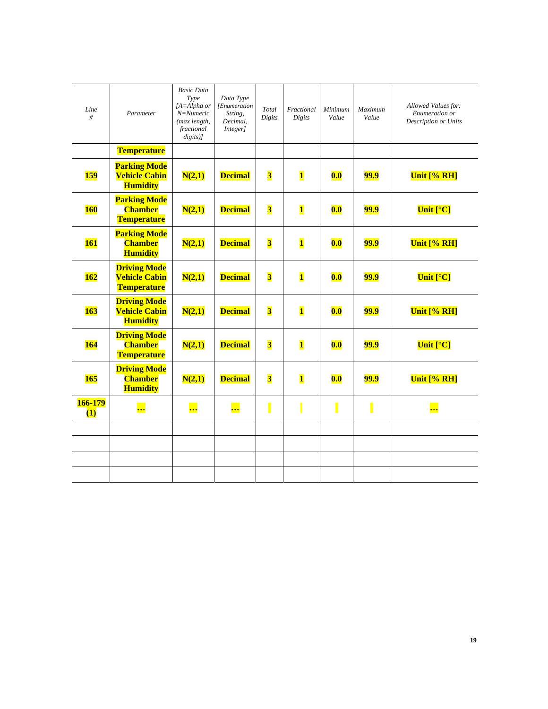| Line<br>#                   | Parameter                                                         | <b>Basic Data</b><br>Type<br>$[A=Alpha or$<br>$N =$ Numeric<br>(max length,<br>fractional<br>$digits$ )] | Data Type<br>[Enumeration<br>String,<br>Decimal,<br>Integer] | Total<br>Digits         | Fractional<br>Digits    | Minimum<br>Value | <b>Maximum</b><br>Value | Allowed Values for:<br>Enumeration or<br>Description or Units |
|-----------------------------|-------------------------------------------------------------------|----------------------------------------------------------------------------------------------------------|--------------------------------------------------------------|-------------------------|-------------------------|------------------|-------------------------|---------------------------------------------------------------|
|                             | <b>Temperature</b>                                                |                                                                                                          |                                                              |                         |                         |                  |                         |                                                               |
| <b>159</b>                  | <b>Parking Mode</b><br><b>Vehicle Cabin</b><br><b>Humidity</b>    | N(2,1)                                                                                                   | <b>Decimal</b>                                               | $\overline{\mathbf{3}}$ | $\mathbf{1}$            | 0.0              | <b>99.9</b>             | Unit [% RH]                                                   |
| <b>160</b>                  | <b>Parking Mode</b><br><b>Chamber</b><br>Temperature              | N(2,1)                                                                                                   | <b>Decimal</b>                                               | $\overline{\mathbf{3}}$ | $\overline{\mathbf{1}}$ | 0.0              | <b>99.9</b>             | Unit $[°C]$                                                   |
| <b>161</b>                  | <b>Parking Mode</b><br><b>Chamber</b><br><b>Humidity</b>          | N(2,1)                                                                                                   | <b>Decimal</b>                                               | $\overline{\mathbf{3}}$ | $\overline{\mathbf{1}}$ | 0.0              | <b>99.9</b>             | Unit [% RH]                                                   |
| 162                         | <b>Driving Mode</b><br><b>Vehicle Cabin</b><br><b>Temperature</b> | N(2,1)                                                                                                   | <b>Decimal</b>                                               | $\overline{\mathbf{3}}$ | $\mathbf{1}$            | 0.0              | <b>99.9</b>             | Unit $[°C]$                                                   |
| <b>163</b>                  | <b>Driving Mode</b><br><b>Vehicle Cabin</b><br><b>Humidity</b>    | N(2,1)                                                                                                   | <b>Decimal</b>                                               | $\overline{\mathbf{3}}$ | $\mathbf{1}$            | 0.0              | <u>99.9</u>             | Unit [% RH]                                                   |
| <b>164</b>                  | <b>Driving Mode</b><br><b>Chamber</b><br>Temperature              | N(2,1)                                                                                                   | <b>Decimal</b>                                               | $\overline{\mathbf{3}}$ | $\mathbf{1}$            | 0.0              | <b>99.9</b>             | Unit $[°C]$                                                   |
| 165                         | <b>Driving Mode</b><br><b>Chamber</b><br><b>Humidity</b>          | N(2,1)                                                                                                   | <b>Decimal</b>                                               | $\overline{\mathbf{3}}$ | $\overline{\mathbf{1}}$ | 0.0              | <b>99.9</b>             | Unit [% RH]                                                   |
| 166-179<br>$\left(1\right)$ | <u></u>                                                           | <u></u>                                                                                                  | <u></u>                                                      |                         |                         |                  |                         | <mark></mark>                                                 |
|                             |                                                                   |                                                                                                          |                                                              |                         |                         |                  |                         |                                                               |
|                             |                                                                   |                                                                                                          |                                                              |                         |                         |                  |                         |                                                               |
|                             |                                                                   |                                                                                                          |                                                              |                         |                         |                  |                         |                                                               |
|                             |                                                                   |                                                                                                          |                                                              |                         |                         |                  |                         |                                                               |
|                             |                                                                   |                                                                                                          |                                                              |                         |                         |                  |                         |                                                               |